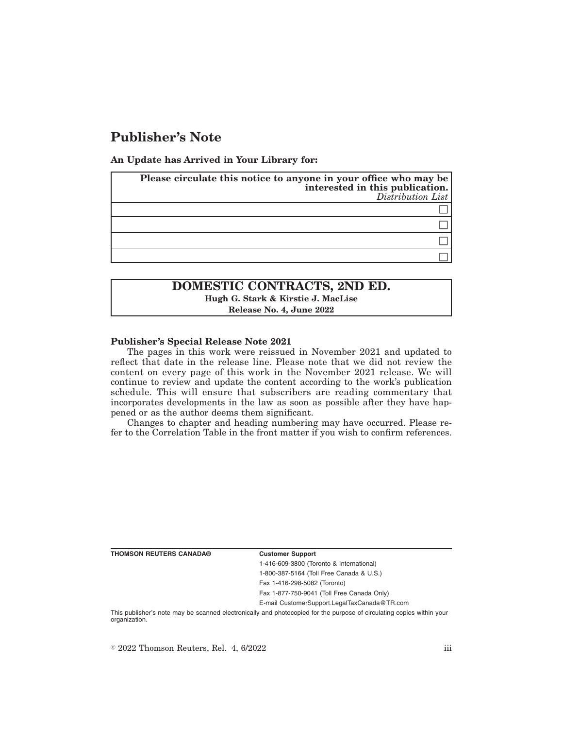# **Publisher's Note**

**An Update has Arrived in Your Library for:**

| Please circulate this notice to anyone in your office who may be<br>interested in this publication.<br>$Distribution$ List |
|----------------------------------------------------------------------------------------------------------------------------|
|                                                                                                                            |
|                                                                                                                            |
|                                                                                                                            |
|                                                                                                                            |

## **DOMESTIC CONTRACTS, 2ND ED. Hugh G. Stark & Kirstie J. MacLise Release No. 4, June 2022**

#### **Publisher's Special Release Note 2021**

The pages in this work were reissued in November 2021 and updated to reflect that date in the release line. Please note that we did not review the content on every page of this work in the November 2021 release. We will continue to review and update the content according to the work's publication schedule. This will ensure that subscribers are reading commentary that incorporates developments in the law as soon as possible after they have happened or as the author deems them significant.

Changes to chapter and heading numbering may have occurred. Please refer to the Correlation Table in the front matter if you wish to confirm references.

**THOMSON REUTERS CANADA® Customer Support**

1-416-609-3800 (Toronto & International) 1-800-387-5164 (Toll Free Canada & U.S.)

Fax 1-416-298-5082 (Toronto)

Fax 1-877-750-9041 (Toll Free Canada Only)

E-mail CustomerSupport.LegalTaxCanada@TR.com

This publisher's note may be scanned electronically and photocopied for the purpose of circulating copies within your organization.

 $\degree$  2022 Thomson Reuters, Rel. 4, 6/2022 iii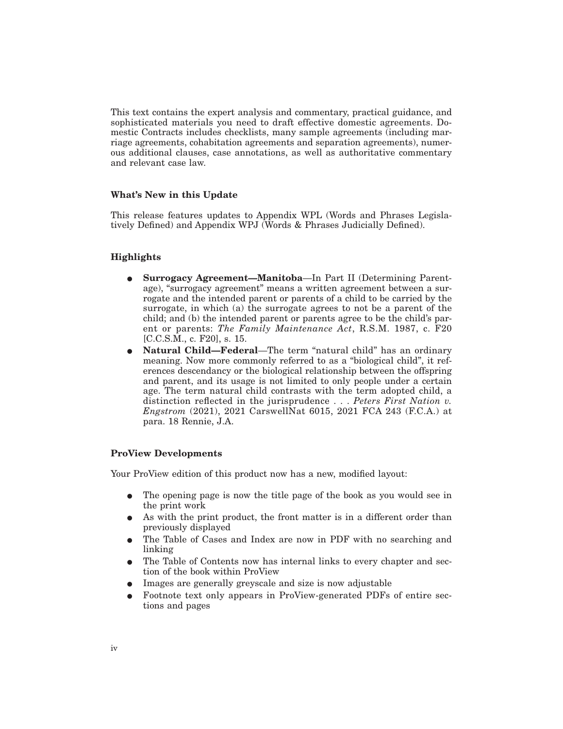This text contains the expert analysis and commentary, practical guidance, and sophisticated materials you need to draft effective domestic agreements. Domestic Contracts includes checklists, many sample agreements (including marriage agreements, cohabitation agreements and separation agreements), numerous additional clauses, case annotations, as well as authoritative commentary and relevant case law.

#### **What's New in this Update**

This release features updates to Appendix WPL (Words and Phrases Legislatively Defined) and Appendix WPJ (Words & Phrases Judicially Defined).

### **Highlights**

- E **Surrogacy Agreement—Manitoba**—In Part II (Determining Parentage), "surrogacy agreement" means a written agreement between a surrogate and the intended parent or parents of a child to be carried by the surrogate, in which (a) the surrogate agrees to not be a parent of the child; and (b) the intended parent or parents agree to be the child's parent or parents: *The Family Maintenance Act*, R.S.M. 1987, c. F20 [C.C.S.M., c. F20], s. 15.
- E **Natural Child—Federal**—The term "natural child" has an ordinary meaning. Now more commonly referred to as a "biological child", it references descendancy or the biological relationship between the offspring and parent, and its usage is not limited to only people under a certain age. The term natural child contrasts with the term adopted child, a distinction reflected in the jurisprudence... *Peters First Nation v. Engstrom* (2021), 2021 CarswellNat 6015, 2021 FCA 243 (F.C.A.) at para. 18 Rennie, J.A.

#### **ProView Developments**

Your ProView edition of this product now has a new, modified layout:

- The opening page is now the title page of the book as you would see in the print work
- As with the print product, the front matter is in a different order than previously displayed
- The Table of Cases and Index are now in PDF with no searching and linking
- The Table of Contents now has internal links to every chapter and section of the book within ProView
- Images are generally greyscale and size is now adjustable
- E Footnote text only appears in ProView-generated PDFs of entire sections and pages